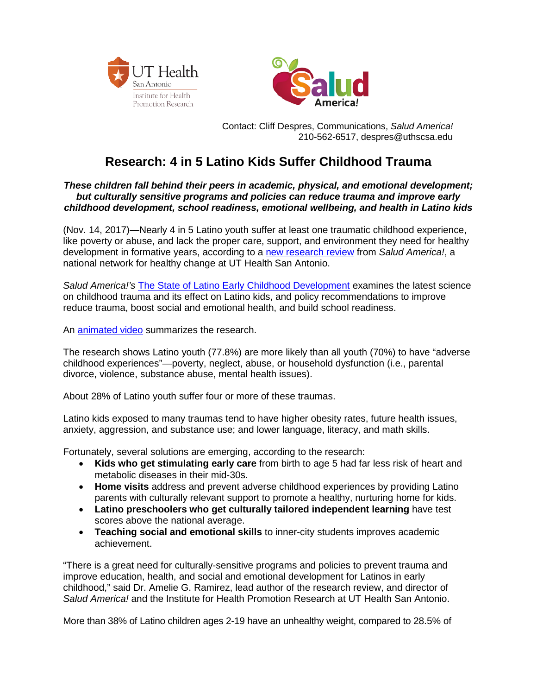



 Contact: Cliff Despres, Communications, *Salud America!* 210-562-6517, despres@uthscsa.edu

## **Research: 4 in 5 Latino Kids Suffer Childhood Trauma**

## *These children fall behind their peers in academic, physical, and emotional development; but culturally sensitive programs and policies can reduce trauma and improve early childhood development, school readiness, emotional wellbeing, and health in Latino kids*

(Nov. 14, 2017)—Nearly 4 in 5 Latino youth suffer at least one traumatic childhood experience, like poverty or abuse, and lack the proper care, support, and environment they need for healthy development in formative years, according to a [new research review](https://salud-america.org/state-latino-early-childhood-development-research-review/) from *Salud America!*, a national network for healthy change at UT Health San Antonio.

*Salud America!'s* [The State of Latino Early Childhood Development](https://salud-america.org/state-latino-early-childhood-development-research-review/) examines the latest science on childhood trauma and its effect on Latino kids, and policy recommendations to improve reduce trauma, boost social and emotional health, and build school readiness.

An [animated video](https://youtu.be/TfsELEBEl78) summarizes the research.

The research shows Latino youth (77.8%) are more likely than all youth (70%) to have "adverse childhood experiences"—poverty, neglect, abuse, or household dysfunction (i.e., parental divorce, violence, substance abuse, mental health issues).

About 28% of Latino youth suffer four or more of these traumas.

Latino kids exposed to many traumas tend to have higher obesity rates, future health issues, anxiety, aggression, and substance use; and lower language, literacy, and math skills.

Fortunately, several solutions are emerging, according to the research:

- **Kids who get stimulating early care** from birth to age 5 had far less risk of heart and metabolic diseases in their mid-30s.
- **Home visits** address and prevent adverse childhood experiences by providing Latino parents with culturally relevant support to promote a healthy, nurturing home for kids.
- **Latino preschoolers who get culturally tailored independent learning** have test scores above the national average.
- **Teaching social and emotional skills** to inner-city students improves academic achievement.

"There is a great need for culturally-sensitive programs and policies to prevent trauma and improve education, health, and social and emotional development for Latinos in early childhood," said Dr. Amelie G. Ramirez, lead author of the research review, and director of *Salud America!* and the Institute for Health Promotion Research at UT Health San Antonio.

More than 38% of Latino children ages 2-19 have an unhealthy weight, compared to 28.5% of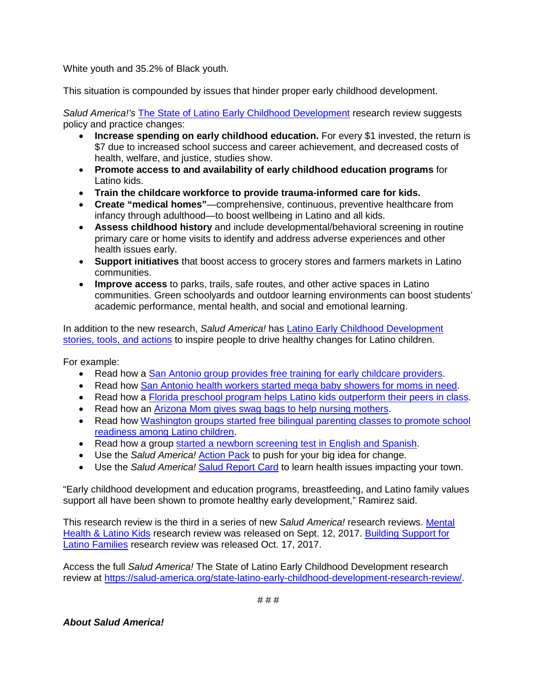White youth and 35.2% of Black youth.

This situation is compounded by issues that hinder proper early childhood development.

*Salud America!'s* [The State of Latino Early Childhood Development](https://salud-america.org/state-latino-early-childhood-development-research-review/) research review suggests policy and practice changes:

- **Increase spending on early childhood education.** For every \$1 invested, the return is \$7 due to increased school success and career achievement, and decreased costs of health, welfare, and justice, studies show.
- **Promote access to and availability of early childhood education programs** for Latino kids.
- **Train the childcare workforce to provide trauma-informed care for kids.**
- **Create "medical homes"**—comprehensive, continuous, preventive healthcare from infancy through adulthood—to boost wellbeing in Latino and all kids.
- **Assess childhood history** and include developmental/behavioral screening in routine primary care or home visits to identify and address adverse experiences and other health issues early.
- **Support initiatives** that boost access to grocery stores and farmers markets in Latino communities.
- **Improve access** to parks, trails, safe routes, and other active spaces in Latino communities. Green schoolyards and outdoor learning environments can boost students' academic performance, mental health, and social and emotional learning.

In addition to the new research, *Salud America!* has [Latino Early Childhood Development](https://salud-america.org/issues/healthy-child/)  [stories, tools, and actions](https://salud-america.org/issues/healthy-child/) to inspire people to drive healthy changes for Latino children.

For example:

- Read how a [San Antonio group provides free training for early childcare providers.](https://salud-america.org/free-training-helps-early-childcare-providers-cultivate-healthy-children/)
- Read how [San Antonio health workers started mega baby showers for moms in need.](https://salud-america.org/health-workers-start-mega-baby-showers-moms-need/)
- Read how a [Florida preschool program helps Latino kids outperform their peers in class.](https://salud-america.org/preschool-programs-help-latino-kids-outperform-their-classmates-in-third-grade/)
- Read how an [Arizona Mom gives swag bags to help nursing mothers.](https://salud-america.org/mom-group-gives-free-swag-bags-to-new-moms-to-help-moms-who-are-nursing-infants/)
- Read how Washington groups started free bilingual parenting classes to promote school [readiness among Latino children.](https://salud-america.org/parenting-master-classes-use-latino-cultural-perspective/)
- Read how a group [started a newborn screening test in English and Spanish.](https://salud-america.org/newborn-screening-resources-spanish/)
- Use the *Salud America!* [Action Pack](https://saludamerica.salsalabs.org/schoolactionpack/index.html) to push for your big idea for change.
- Use the *Salud America!* [Salud Report Card](http://salud-america.org/salud-report-cards/) to learn health issues impacting your town.

"Early childhood development and education programs, breastfeeding, and Latino family values support all have been shown to promote healthy early development," Ramirez said.

This research review is the third in a series of new *Salud America!* research reviews. [Mental](http://salud-america.org/healthymindsresearch/)  [Health & Latino Kids](http://salud-america.org/healthymindsresearch/) research review was released on Sept. 12, 2017. [Building Support for](https://salud-america.org/building-support-for-latino-families-research/)  [Latino Families](https://salud-america.org/building-support-for-latino-families-research/) research review was released Oct. 17, 2017.

Access the full *Salud America!* The State of Latino Early Childhood Development research review at [https://salud-america.org/state-latino-early-childhood-development-research-review/.](https://salud-america.org/state-latino-early-childhood-development-research-review/)